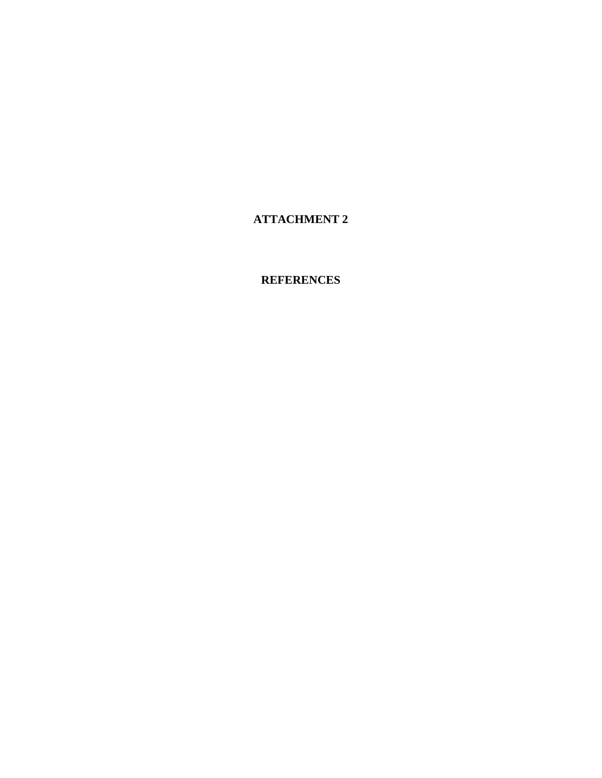**ATTACHMENT 2** 

**REFERENCES**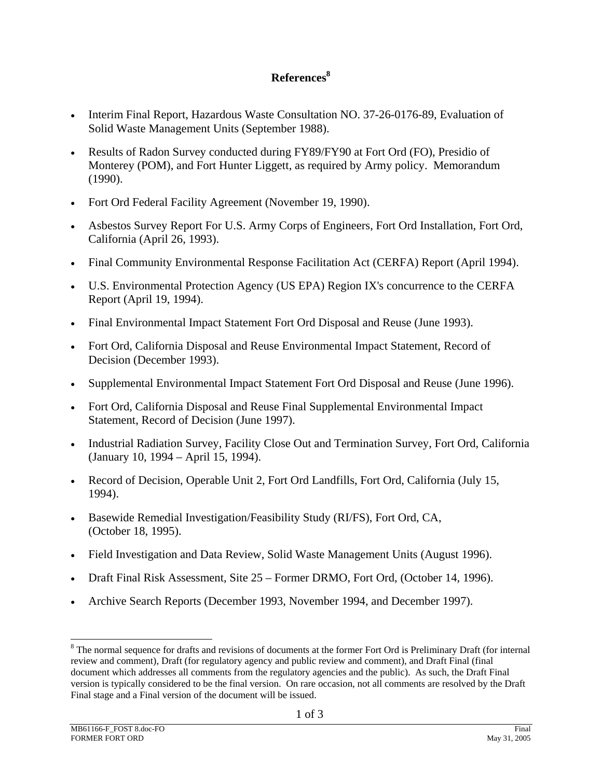## **References8**

- Interim Final Report, Hazardous Waste Consultation NO. 37-26-0176-89, Evaluation of Solid Waste Management Units (September 1988).
- Results of Radon Survey conducted during FY89/FY90 at Fort Ord (FO), Presidio of Monterey (POM), and Fort Hunter Liggett, as required by Army policy. Memorandum (1990).
- Fort Ord Federal Facility Agreement (November 19, 1990).
- Asbestos Survey Report For U.S. Army Corps of Engineers, Fort Ord Installation, Fort Ord, California (April 26, 1993).
- Final Community Environmental Response Facilitation Act (CERFA) Report (April 1994).
- U.S. Environmental Protection Agency (US EPA) Region IX's concurrence to the CERFA Report (April 19, 1994).
- Final Environmental Impact Statement Fort Ord Disposal and Reuse (June 1993).
- Fort Ord, California Disposal and Reuse Environmental Impact Statement, Record of Decision (December 1993).
- Supplemental Environmental Impact Statement Fort Ord Disposal and Reuse (June 1996).
- Fort Ord, California Disposal and Reuse Final Supplemental Environmental Impact Statement, Record of Decision (June 1997).
- Industrial Radiation Survey, Facility Close Out and Termination Survey, Fort Ord, California (January 10, 1994 – April 15, 1994).
- Record of Decision, Operable Unit 2, Fort Ord Landfills, Fort Ord, California (July 15, 1994).
- Basewide Remedial Investigation/Feasibility Study (RI/FS), Fort Ord, CA, (October 18, 1995).
- Field Investigation and Data Review, Solid Waste Management Units (August 1996).
- Draft Final Risk Assessment, Site 25 Former DRMO, Fort Ord, (October 14, 1996).
- Archive Search Reports (December 1993, November 1994, and December 1997).

<sup>&</sup>lt;sup>8</sup> The normal sequence for drafts and revisions of documents at the former Fort Ord is Preliminary Draft (for internal review and comment), Draft (for regulatory agency and public review and comment), and Draft Final (final document which addresses all comments from the regulatory agencies and the public). As such, the Draft Final version is typically considered to be the final version. On rare occasion, not all comments are resolved by the Draft Final stage and a Final version of the document will be issued.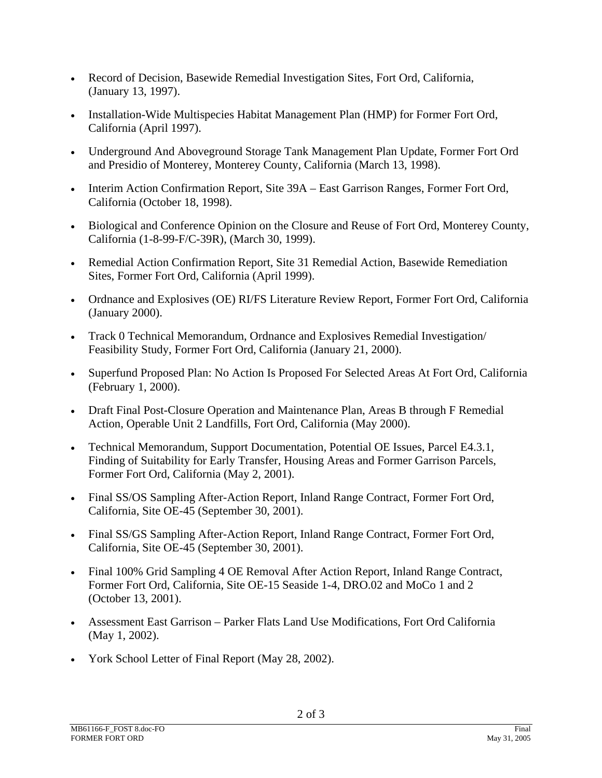- Record of Decision, Basewide Remedial Investigation Sites, Fort Ord, California, (January 13, 1997).
- Installation-Wide Multispecies Habitat Management Plan (HMP) for Former Fort Ord, California (April 1997).
- Underground And Aboveground Storage Tank Management Plan Update, Former Fort Ord and Presidio of Monterey, Monterey County, California (March 13, 1998).
- Interim Action Confirmation Report, Site 39A East Garrison Ranges, Former Fort Ord, California (October 18, 1998).
- Biological and Conference Opinion on the Closure and Reuse of Fort Ord, Monterey County, California (1-8-99-F/C-39R), (March 30, 1999).
- Remedial Action Confirmation Report, Site 31 Remedial Action, Basewide Remediation Sites, Former Fort Ord, California (April 1999).
- Ordnance and Explosives (OE) RI/FS Literature Review Report, Former Fort Ord, California (January 2000).
- Track 0 Technical Memorandum, Ordnance and Explosives Remedial Investigation/ Feasibility Study, Former Fort Ord, California (January 21, 2000).
- Superfund Proposed Plan: No Action Is Proposed For Selected Areas At Fort Ord, California (February 1, 2000).
- Draft Final Post-Closure Operation and Maintenance Plan, Areas B through F Remedial Action, Operable Unit 2 Landfills, Fort Ord, California (May 2000).
- Technical Memorandum, Support Documentation, Potential OE Issues, Parcel E4.3.1, Finding of Suitability for Early Transfer, Housing Areas and Former Garrison Parcels, Former Fort Ord, California (May 2, 2001).
- Final SS/OS Sampling After-Action Report, Inland Range Contract, Former Fort Ord, California, Site OE-45 (September 30, 2001).
- Final SS/GS Sampling After-Action Report, Inland Range Contract, Former Fort Ord, California, Site OE-45 (September 30, 2001).
- Final 100% Grid Sampling 4 OE Removal After Action Report, Inland Range Contract, Former Fort Ord, California, Site OE-15 Seaside 1-4, DRO.02 and MoCo 1 and 2 (October 13, 2001).
- Assessment East Garrison Parker Flats Land Use Modifications, Fort Ord California (May 1, 2002).
- York School Letter of Final Report (May 28, 2002).